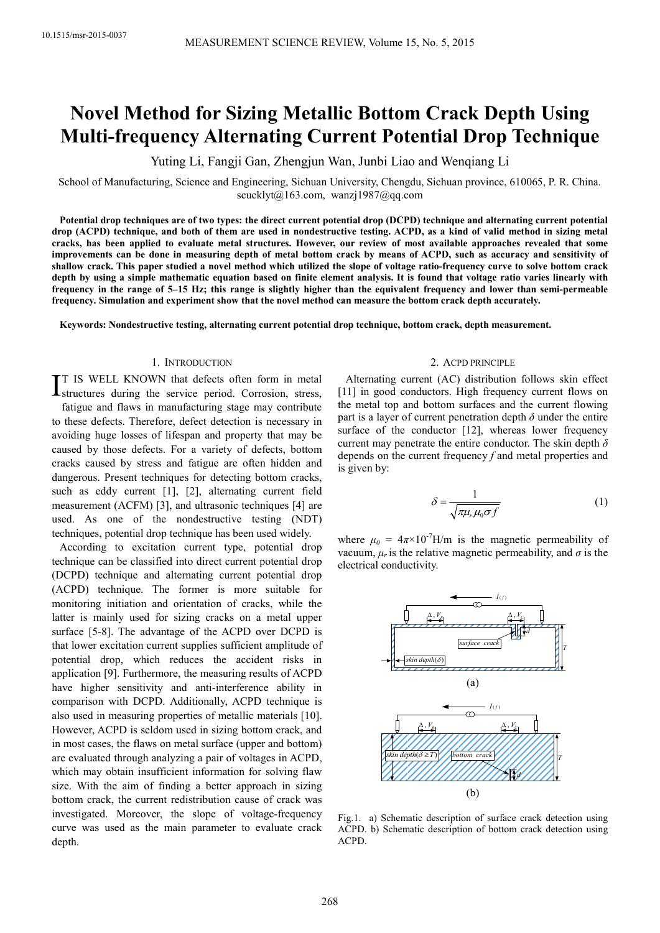# **Novel Method for Sizing Metallic Bottom Crack Depth Using Multi-frequency Alternating Current Potential Drop Technique**

Yuting Li, Fangji Gan, Zhengjun Wan, Junbi Liao and Wenqiang Li

School of Manufacturing, Science and Engineering, Sichuan University, Chengdu, Sichuan province, 610065, P. R. China. scucklyt@163.com, wanzj1987@qq.com

**Potential drop techniques are of two types: the direct current potential drop (DCPD) technique and alternating current potential drop (ACPD) technique, and both of them are used in nondestructive testing. ACPD, as a kind of valid method in sizing metal cracks, has been applied to evaluate metal structures. However, our review of most available approaches revealed that some improvements can be done in measuring depth of metal bottom crack by means of ACPD, such as accuracy and sensitivity of shallow crack. This paper studied a novel method which utilized the slope of voltage ratio-frequency curve to solve bottom crack depth by using a simple mathematic equation based on finite element analysis. It is found that voltage ratio varies linearly with frequency in the range of 5–15 Hz; this range is slightly higher than the equivalent frequency and lower than semi-permeable frequency. Simulation and experiment show that the novel method can measure the bottom crack depth accurately.** 

**Keywords: Nondestructive testing, alternating current potential drop technique, bottom crack, depth measurement.** 

# 1. INTRODUCTION

T IS WELL KNOWN that defects often form in metal IT IS WELL KNOWN that defects often form in metal<br>Istructures during the service period. Corrosion, stress, fatigue and flaws in manufacturing stage may contribute to these defects. Therefore, defect detection is necessary in avoiding huge losses of lifespan and property that may be caused by those defects. For a variety of defects, bottom cracks caused by stress and fatigue are often hidden and dangerous. Present techniques for detecting bottom cracks, such as eddy current [1], [2], alternating current field measurement (ACFM) [3], and ultrasonic techniques [4] are used. As one of the nondestructive testing (NDT) techniques, potential drop technique has been used widely.

According to excitation current type, potential drop technique can be classified into direct current potential drop (DCPD) technique and alternating current potential drop (ACPD) technique. The former is more suitable for monitoring initiation and orientation of cracks, while the latter is mainly used for sizing cracks on a metal upper surface [5-8]. The advantage of the ACPD over DCPD is that lower excitation current supplies sufficient amplitude of potential drop, which reduces the accident risks in application [9]. Furthermore, the measuring results of ACPD have higher sensitivity and anti-interference ability in comparison with DCPD. Additionally, ACPD technique is also used in measuring properties of metallic materials [10]. However, ACPD is seldom used in sizing bottom crack, and in most cases, the flaws on metal surface (upper and bottom) are evaluated through analyzing a pair of voltages in ACPD, which may obtain insufficient information for solving flaw size. With the aim of finding a better approach in sizing bottom crack, the current redistribution cause of crack was investigated. Moreover, the slope of voltage-frequency curve was used as the main parameter to evaluate crack depth.

#### 2. ACPD PRINCIPLE

Alternating current (AC) distribution follows skin effect [11] in good conductors. High frequency current flows on the metal top and bottom surfaces and the current flowing part is a layer of current penetration depth  $\delta$  under the entire surface of the conductor [12], whereas lower frequency current may penetrate the entire conductor. The skin depth *δ* depends on the current frequency *f* and metal properties and is given by:

$$
\delta = \frac{1}{\sqrt{\pi \mu_r \mu_0 \sigma f}}\tag{1}
$$

where  $\mu_0 = 4\pi \times 10^{-7}$ H/m is the magnetic permeability of vacuum,  $\mu_r$  is the relative magnetic permeability, and  $\sigma$  is the electrical conductivity.



Fig.1. a) Schematic description of surface crack detection using ACPD. b) Schematic description of bottom crack detection using ACPD.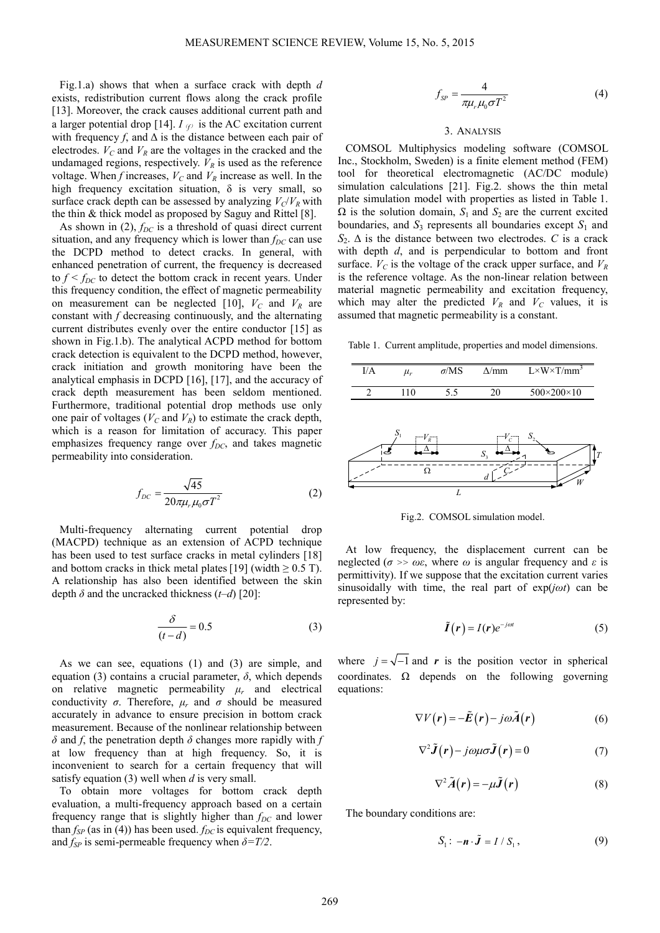Fig.1.a) shows that when a surface crack with depth *d* exists, redistribution current flows along the crack profile [13]. Moreover, the crack causes additional current path and a larger potential drop [14].  $I_{\mathcal{P}}$  is the AC excitation current with frequency  $f$ , and  $\Delta$  is the distance between each pair of electrodes.  $V_C$  and  $V_R$  are the voltages in the cracked and the undamaged regions, respectively.  $V_R$  is used as the reference voltage. When *f* increases,  $V_C$  and  $V_R$  increase as well. In the high frequency excitation situation,  $\delta$  is very small, so surface crack depth can be assessed by analyzing  $V_c/V_R$  with the thin & thick model as proposed by Saguy and Rittel [8].

As shown in (2),  $f_{DC}$  is a threshold of quasi direct current situation, and any frequency which is lower than  $f_{DC}$  can use the DCPD method to detect cracks. In general, with enhanced penetration of current, the frequency is decreased to  $f < f_{DC}$  to detect the bottom crack in recent years. Under this frequency condition, the effect of magnetic permeability on measurement can be neglected [10],  $V_C$  and  $V_R$  are constant with *f* decreasing continuously, and the alternating current distributes evenly over the entire conductor [15] as shown in Fig.1.b). The analytical ACPD method for bottom crack detection is equivalent to the DCPD method, however, crack initiation and growth monitoring have been the analytical emphasis in DCPD [16], [17], and the accuracy of crack depth measurement has been seldom mentioned. Furthermore, traditional potential drop methods use only one pair of voltages ( $V_C$  and  $V_R$ ) to estimate the crack depth, which is a reason for limitation of accuracy. This paper emphasizes frequency range over *f<sub>DC*</sub>, and takes magnetic permeability into consideration.

$$
f_{DC} = \frac{\sqrt{45}}{20\pi\mu_r\mu_0\sigma T^2}
$$
 (2)

Multi-frequency alternating current potential drop (MACPD) technique as an extension of ACPD technique has been used to test surface cracks in metal cylinders [18] and bottom cracks in thick metal plates [19] (width  $\geq$  0.5 T). A relationship has also been identified between the skin depth *δ* and the uncracked thickness (*t–d*) [20]:

$$
\frac{\delta}{(t-d)} = 0.5\tag{3}
$$

As we can see, equations (1) and (3) are simple, and equation (3) contains a crucial parameter,  $\delta$ , which depends on relative magnetic permeability  $\mu_r$  and electrical conductivity  $\sigma$ . Therefore,  $\mu_r$  and  $\sigma$  should be measured accurately in advance to ensure precision in bottom crack measurement. Because of the nonlinear relationship between *δ* and *f*, the penetration depth *δ* changes more rapidly with *f* at low frequency than at high frequency. So, it is inconvenient to search for a certain frequency that will satisfy equation (3) well when *d* is very small.

To obtain more voltages for bottom crack depth evaluation, a multi-frequency approach based on a certain frequency range that is slightly higher than *fDC* and lower than  $f_{SP}$  (as in (4)) has been used.  $f_{DC}$  is equivalent frequency, and  $f_{SP}$  is semi-permeable frequency when  $\delta = T/2$ .

$$
f_{SP} = \frac{4}{\pi \mu_r \mu_0 \sigma T^2} \tag{4}
$$

#### 3. ANALYSIS

COMSOL Multiphysics modeling software (COMSOL Inc., Stockholm, Sweden) is a finite element method (FEM) tool for theoretical electromagnetic (AC/DC module) simulation calculations [21]. Fig.2. shows the thin metal plate simulation model with properties as listed in Table 1.  $\Omega$  is the solution domain,  $S_1$  and  $S_2$  are the current excited boundaries, and  $S_3$  represents all boundaries except  $S_1$  and  $S_2$ .  $\Delta$  is the distance between two electrodes. *C* is a crack with depth *d*, and is perpendicular to bottom and front surface.  $V_C$  is the voltage of the crack upper surface, and  $V_R$ is the reference voltage. As the non-linear relation between material magnetic permeability and excitation frequency, which may alter the predicted  $V_R$  and  $V_C$  values, it is assumed that magnetic permeability is a constant.

Table 1. Current amplitude, properties and model dimensions.



Fig.2. COMSOL simulation model.

At low frequency, the displacement current can be neglected ( $\sigma$  >>  $\omega \varepsilon$ , where  $\omega$  is angular frequency and  $\varepsilon$  is permittivity). If we suppose that the excitation current varies sinusoidally with time, the real part of exp(*jωt*) can be represented by:

$$
\tilde{I}(r) = I(r)e^{-j\omega t} \tag{5}
$$

where  $j = \sqrt{-1}$  and *r* is the position vector in spherical coordinates.  $\Omega$  depends on the following governing equations:

$$
\nabla V(\mathbf{r}) = -\tilde{\mathbf{E}}(\mathbf{r}) - j\omega \tilde{\mathbf{A}}(\mathbf{r})
$$
 (6)

$$
\nabla^2 \tilde{\mathbf{J}}(\mathbf{r}) - j\omega\mu\sigma \tilde{\mathbf{J}}(\mathbf{r}) = 0 \tag{7}
$$

$$
\nabla^2 \tilde{A}(\mathbf{r}) = -\mu \tilde{J}(\mathbf{r})
$$
 (8)

The boundary conditions are:

$$
S_1: -\boldsymbol{n} \cdot \tilde{\boldsymbol{J}} = I / S_1, \qquad (9)
$$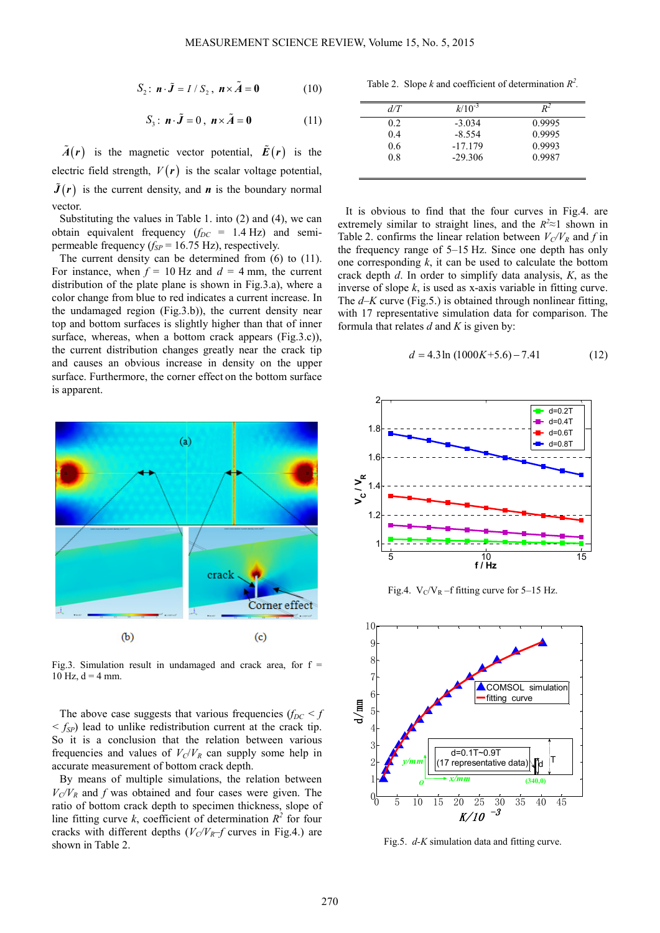$$
S_2: \mathbf{n} \cdot \tilde{\mathbf{J}} = I / S_2, \mathbf{n} \times \tilde{\mathbf{A}} = \mathbf{0}
$$
 (10)

$$
S_3: \mathbf{n} \cdot \tilde{\mathbf{J}} = 0, \ \mathbf{n} \times \tilde{\mathbf{A}} = \mathbf{0}
$$
 (11)

 $\tilde{A}(r)$  is the magnetic vector potential,  $\tilde{E}(r)$  is the electric field strength,  $V(r)$  is the scalar voltage potential,  $\tilde{J}(r)$  is the current density, and *n* is the boundary normal vector.

Substituting the values in Table 1. into (2) and (4), we can obtain equivalent frequency  $(f_{DC} = 1.4 \text{ Hz})$  and semipermeable frequency  $(f_{SP} = 16.75 \text{ Hz})$ , respectively.

The current density can be determined from (6) to (11). For instance, when  $f = 10$  Hz and  $d = 4$  mm, the current distribution of the plate plane is shown in Fig.3.a), where a color change from blue to red indicates a current increase. In the undamaged region (Fig.3.b)), the current density near top and bottom surfaces is slightly higher than that of inner surface, whereas, when a bottom crack appears (Fig.3.c)), the current distribution changes greatly near the crack tip and causes an obvious increase in density on the upper surface. Furthermore, the corner effect on the bottom surface is apparent.



Fig.3. Simulation result in undamaged and crack area, for  $f =$  $10$  Hz,  $d = 4$  mm.

The above case suggests that various frequencies ( $f_{DC} < f$  $\langle f_{SP} \rangle$  lead to unlike redistribution current at the crack tip. So it is a conclusion that the relation between various frequencies and values of  $V_C/V_R$  can supply some help in accurate measurement of bottom crack depth.

By means of multiple simulations, the relation between  $V_c/V_R$  and *f* was obtained and four cases were given. The ratio of bottom crack depth to specimen thickness, slope of line fitting curve  $k$ , coefficient of determination  $R^2$  for four cracks with different depths  $(V_C/V_R-f$  curves in Fig.4.) are shown in Table 2.

Table 2. Slope *k* and coefficient of determination  $R^2$ .

| d/T | $k/10^{-3}$ | ₽∸     |
|-----|-------------|--------|
| 0.2 | $-3.034$    | 0.9995 |
| 0.4 | $-8.554$    | 0.9995 |
| 0.6 | $-17.179$   | 0.9993 |
| 0.8 | $-29.306$   | 0.9987 |

It is obvious to find that the four curves in Fig.4. are extremely similar to straight lines, and the  $R^2 \approx 1$  shown in Table 2. confirms the linear relation between  $V_C/V_R$  and *f* in the frequency range of 5–15 Hz. Since one depth has only one corresponding *k*, it can be used to calculate the bottom crack depth *d*. In order to simplify data analysis, *K*, as the inverse of slope *k*, is used as x-axis variable in fitting curve. The *d*–*K* curve (Fig.5.) is obtained through nonlinear fitting, with 17 representative simulation data for comparison. The formula that relates *d* and *K* is given by:

$$
d = 4.3 \ln (1000K + 5.6) - 7.41 \tag{12}
$$



Fig.4.  $V_C/V_R$  –f fitting curve for 5–15 Hz.



Fig.5. *d-K* simulation data and fitting curve.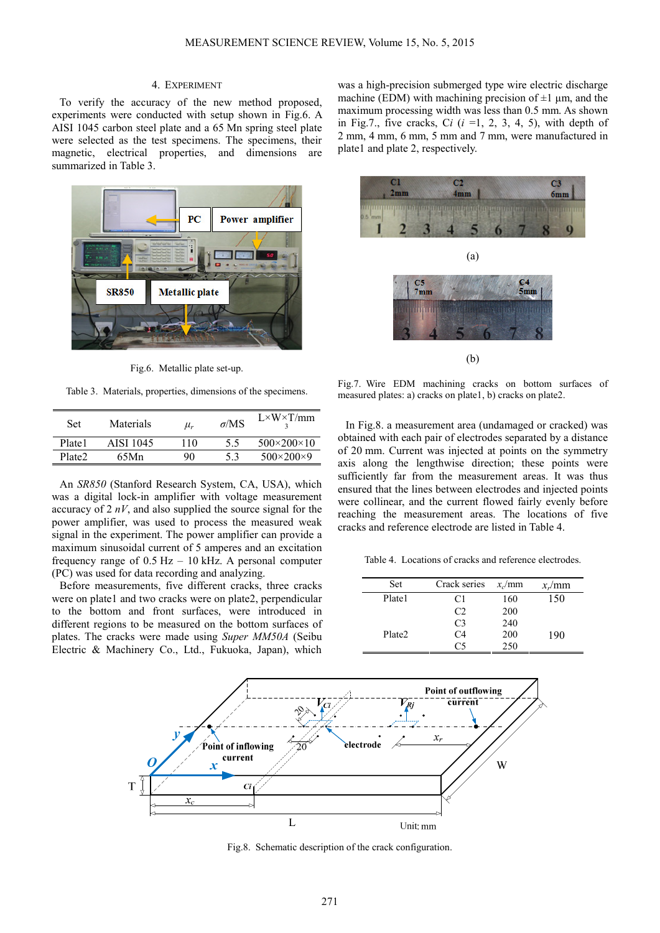## 4. EXPERIMENT

To verify the accuracy of the new method proposed, experiments were conducted with setup shown in Fig.6. A AISI 1045 carbon steel plate and a 65 Mn spring steel plate were selected as the test specimens. The specimens, their magnetic, electrical properties, and dimensions are summarized in Table 3.



Fig.6. Metallic plate set-up.

Table 3. Materials, properties, dimensions of the specimens.

| Set                | Materials | $\mu_r$ | $\sigma$ /MS | $L \times W \times T/mm$   |
|--------------------|-----------|---------|--------------|----------------------------|
| Plate1             | AISI 1045 | 110     | 5.5          | $500 \times 200 \times 10$ |
| Plate <sub>2</sub> | 65Mn      | 90      | 53           | $500 \times 200 \times 9$  |

An *SR850* (Stanford Research System, CA, USA), which was a digital lock-in amplifier with voltage measurement accuracy of 2 *nV*, and also supplied the source signal for the power amplifier, was used to process the measured weak signal in the experiment. The power amplifier can provide a maximum sinusoidal current of 5 amperes and an excitation frequency range of 0.5 Hz – 10 kHz. A personal computer (PC) was used for data recording and analyzing.

Before measurements, five different cracks, three cracks were on plate1 and two cracks were on plate2, perpendicular to the bottom and front surfaces, were introduced in different regions to be measured on the bottom surfaces of plates. The cracks were made using *Super MM50A* (Seibu Electric & Machinery Co., Ltd., Fukuoka, Japan), which

was a high-precision submerged type wire electric discharge machine (EDM) with machining precision of  $\pm 1$  µm, and the maximum processing width was less than 0.5 mm. As shown in Fig.7., five cracks, Ci  $(i = 1, 2, 3, 4, 5)$ , with depth of 2 mm, 4 mm, 6 mm, 5 mm and 7 mm, were manufactured in plate1 and plate 2, respectively.



Fig.7. Wire EDM machining cracks on bottom surfaces of measured plates: a) cracks on plate1, b) cracks on plate2.

In Fig.8. a measurement area (undamaged or cracked) was obtained with each pair of electrodes separated by a distance of 20 mm. Current was injected at points on the symmetry axis along the lengthwise direction; these points were sufficiently far from the measurement areas. It was thus ensured that the lines between electrodes and injected points were collinear, and the current flowed fairly evenly before reaching the measurement areas. The locations of five cracks and reference electrode are listed in Table 4.

Table 4. Locations of cracks and reference electrodes.

| Set    | Crack series   | $x_c$ /mm | $x_r$ /mm |
|--------|----------------|-----------|-----------|
| Plate1 | C1             | 160       | 150       |
|        | C2             | 200       |           |
|        | C <sub>3</sub> | 240       |           |
| Plate2 | C4             | 200       | 190       |
|        | Րና             | 250       |           |



Fig.8. Schematic description of the crack configuration.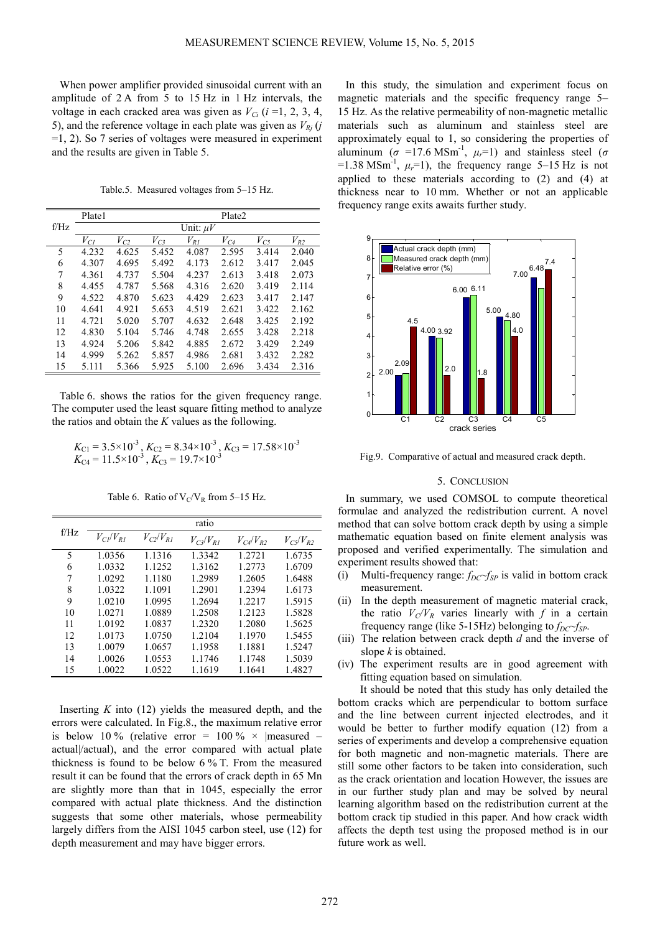When power amplifier provided sinusoidal current with an amplitude of 2 A from 5 to 15 Hz in 1 Hz intervals, the voltage in each cracked area was given as  $V_{Ci}$  ( $i = 1, 2, 3, 4$ , 5), and the reference voltage in each plate was given as  $V_{Rj}$  (*j*  $=1, 2$ ). So 7 series of voltages were measured in experiment and the results are given in Table 5.

Table.5. Measured voltages from 5–15 Hz.

|      | Plate1<br>Plate2<br>Unit: $\mu V$ |          |          |          |           |           |          |
|------|-----------------------------------|----------|----------|----------|-----------|-----------|----------|
| f/Hz |                                   |          |          |          |           |           |          |
|      | $V_{CI}$                          | $V_{C2}$ | $V_{C3}$ | $V_{RI}$ | $V_{C_4}$ | $V_{C_2}$ | $V_{R2}$ |
| 5    | 4.232                             | 4.625    | 5.452    | 4.087    | 2.595     | 3.414     | 2.040    |
| 6    | 4.307                             | 4.695    | 5.492    | 4.173    | 2.612     | 3.417     | 2.045    |
| 7    | 4.361                             | 4.737    | 5.504    | 4.237    | 2.613     | 3.418     | 2.073    |
| 8    | 4.455                             | 4.787    | 5.568    | 4.316    | 2.620     | 3.419     | 2.114    |
| 9    | 4.522                             | 4.870    | 5.623    | 4.429    | 2.623     | 3.417     | 2.147    |
| 10   | 4.641                             | 4.921    | 5.653    | 4.519    | 2.621     | 3.422     | 2.162    |
| 11   | 4.721                             | 5.020    | 5.707    | 4.632    | 2.648     | 3.425     | 2.192    |
| 12   | 4.830                             | 5.104    | 5.746    | 4.748    | 2.655     | 3.428     | 2.218    |
| 13   | 4 9 2 4                           | 5.206    | 5.842    | 4.885    | 2.672     | 3.429     | 2.249    |
| 14   | 4.999                             | 5.262    | 5.857    | 4.986    | 2.681     | 3.432     | 2.282    |
| 15   | 5.111                             | 5.366    | 5.925    | 5.100    | 2.696     | 3.434     | 2.316    |

Table 6. shows the ratios for the given frequency range. The computer used the least square fitting method to analyze the ratios and obtain the *K* values as the following.

$$
K_{C1} = 3.5 \times 10^{-3}
$$
,  $K_{C2} = 8.34 \times 10^{-3}$ ,  $K_{C3} = 17.58 \times 10^{-3}$   
 $K_{C4} = 11.5 \times 10^{-3}$ ,  $K_{C3} = 19.7 \times 10^{-3}$ 

Table 6. Ratio of  $V_C/V_R$  from 5–15 Hz.

|      | ratio           |                             |                 |                 |                 |  |  |
|------|-----------------|-----------------------------|-----------------|-----------------|-----------------|--|--|
| f/Hz | $V_{Cl}/V_{RI}$ | $V_C$ <sub>/</sub> $V_{RI}$ | $V_{C3}/V_{R1}$ | $V_{C4}/V_{R2}$ | $V_{C5}/V_{R2}$ |  |  |
| 5    | 1.0356          | 1.1316                      | 1.3342          | 1.2721          | 1.6735          |  |  |
| 6    | 1.0332          | 1.1252                      | 1.3162          | 1.2773          | 1.6709          |  |  |
| 7    | 1.0292          | 1.1180                      | 1.2989          | 1.2605          | 1.6488          |  |  |
| 8    | 1.0322          | 1.1091                      | 1.2901          | 1.2394          | 1.6173          |  |  |
| 9    | 1.0210          | 1.0995                      | 1.2694          | 1.2217          | 1.5915          |  |  |
| 10   | 1.0271          | 1.0889                      | 1.2508          | 1.2123          | 1.5828          |  |  |
| 11   | 1.0192          | 1.0837                      | 1.2320          | 1.2080          | 1.5625          |  |  |
| 12   | 1.0173          | 1.0750                      | 1.2104          | 1.1970          | 1.5455          |  |  |
| 13   | 1.0079          | 1.0657                      | 1.1958          | 1.1881          | 1.5247          |  |  |
| 14   | 1.0026          | 1.0553                      | 1.1746          | 1.1748          | 1.5039          |  |  |
| 15   | 1.0022          | 1.0522                      | 1.1619          | 1.1641          | 1.4827          |  |  |

Inserting  $K$  into  $(12)$  yields the measured depth, and the errors were calculated. In Fig.8., the maximum relative error is below 10 % (relative error =  $100\% \times$  |measured – actual|/actual), and the error compared with actual plate thickness is found to be below 6 % T. From the measured result it can be found that the errors of crack depth in 65 Mn are slightly more than that in 1045, especially the error compared with actual plate thickness. And the distinction suggests that some other materials, whose permeability largely differs from the AISI 1045 carbon steel, use (12) for depth measurement and may have bigger errors.

In this study, the simulation and experiment focus on magnetic materials and the specific frequency range 5– 15 Hz. As the relative permeability of non-magnetic metallic materials such as aluminum and stainless steel are approximately equal to 1, so considering the properties of aluminum ( $\sigma$  =17.6 MSm<sup>-1</sup>,  $\mu_r$ =1) and stainless steel ( $\sigma$  $=1.38$  MSm<sup>-1</sup>,  $\mu_r=1$ ), the frequency range 5–15 Hz is not applied to these materials according to (2) and (4) at thickness near to 10 mm. Whether or not an applicable frequency range exits awaits further study.



Fig.9. Comparative of actual and measured crack depth.

### 5. CONCLUSION

In summary, we used COMSOL to compute theoretical formulae and analyzed the redistribution current. A novel method that can solve bottom crack depth by using a simple mathematic equation based on finite element analysis was proposed and verified experimentally. The simulation and experiment results showed that:

- (i) Multi-frequency range: *fDC~fSP* is valid in bottom crack measurement.
- (ii) In the depth measurement of magnetic material crack, the ratio  $V_c/V_R$  varies linearly with *f* in a certain frequency range (like 5-15Hz) belonging to *fDC~fSP*.
- (iii) The relation between crack depth *d* and the inverse of slope *k* is obtained.
- (iv) The experiment results are in good agreement with fitting equation based on simulation.

It should be noted that this study has only detailed the bottom cracks which are perpendicular to bottom surface and the line between current injected electrodes, and it would be better to further modify equation (12) from a series of experiments and develop a comprehensive equation for both magnetic and non-magnetic materials. There are still some other factors to be taken into consideration, such as the crack orientation and location However, the issues are in our further study plan and may be solved by neural learning algorithm based on the redistribution current at the bottom crack tip studied in this paper. And how crack width affects the depth test using the proposed method is in our future work as well.